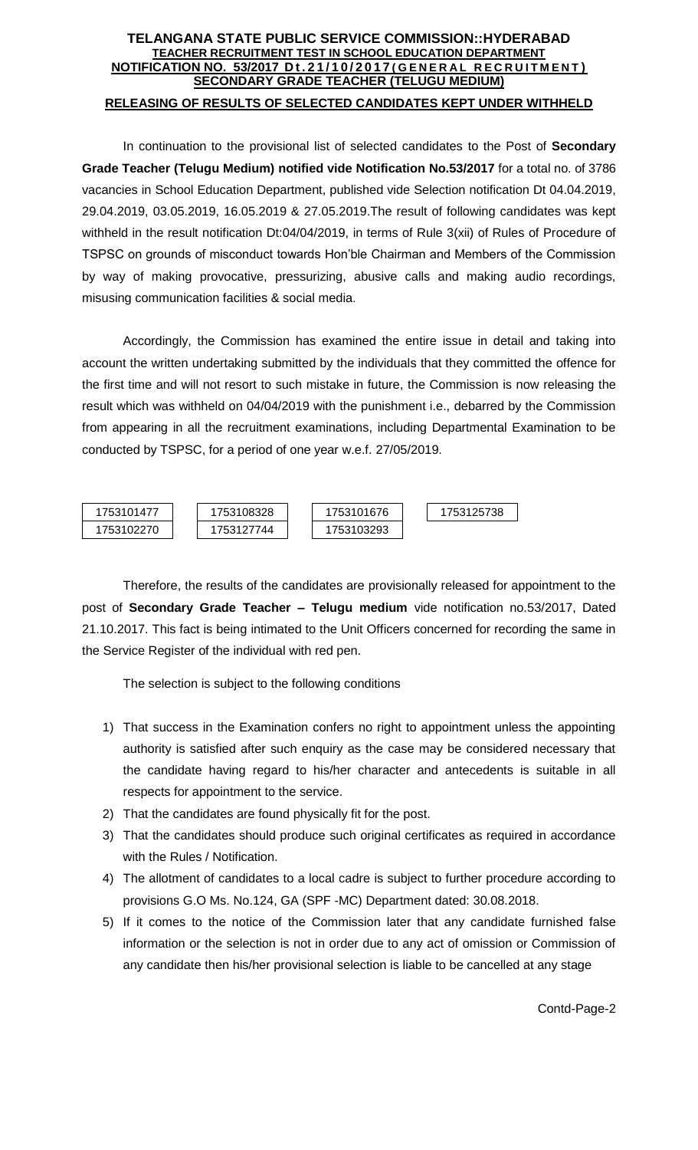## **TELANGANA STATE PUBLIC SERVICE COMMISSION::HYDERABAD TEACHER RECRUITMENT TEST IN SCHOOL EDUCATION DEPARTMENT NOTIFICATION NO. 53/2017 D t . 2 1 / 1 0 / 2 0 1 7 ( G E N E R A L R E C R U I T M E N T ) SECONDARY GRADE TEACHER (TELUGU MEDIUM) RELEASING OF RESULTS OF SELECTED CANDIDATES KEPT UNDER WITHHELD**

In continuation to the provisional list of selected candidates to the Post of **Secondary Grade Teacher (Telugu Medium) notified vide Notification No.53/2017** for a total no. of 3786 vacancies in School Education Department, published vide Selection notification Dt 04.04.2019, 29.04.2019, 03.05.2019, 16.05.2019 & 27.05.2019.The result of following candidates was kept withheld in the result notification Dt:04/04/2019, in terms of Rule 3(xii) of Rules of Procedure of TSPSC on grounds of misconduct towards Hon'ble Chairman and Members of the Commission by way of making provocative, pressurizing, abusive calls and making audio recordings, misusing communication facilities & social media.

Accordingly, the Commission has examined the entire issue in detail and taking into account the written undertaking submitted by the individuals that they committed the offence for the first time and will not resort to such mistake in future, the Commission is now releasing the result which was withheld on 04/04/2019 with the punishment i.e., debarred by the Commission from appearing in all the recruitment examinations, including Departmental Examination to be conducted by TSPSC, for a period of one year w.e.f. 27/05/2019.



Therefore, the results of the candidates are provisionally released for appointment to the post of **Secondary Grade Teacher – Telugu medium** vide notification no.53/2017, Dated 21.10.2017. This fact is being intimated to the Unit Officers concerned for recording the same in the Service Register of the individual with red pen.

The selection is subject to the following conditions

- 1) That success in the Examination confers no right to appointment unless the appointing authority is satisfied after such enquiry as the case may be considered necessary that the candidate having regard to his/her character and antecedents is suitable in all respects for appointment to the service.
- 2) That the candidates are found physically fit for the post.
- 3) That the candidates should produce such original certificates as required in accordance with the Rules / Notification.
- 4) The allotment of candidates to a local cadre is subject to further procedure according to provisions G.O Ms. No.124, GA (SPF -MC) Department dated: 30.08.2018.
- 5) If it comes to the notice of the Commission later that any candidate furnished false information or the selection is not in order due to any act of omission or Commission of any candidate then his/her provisional selection is liable to be cancelled at any stage